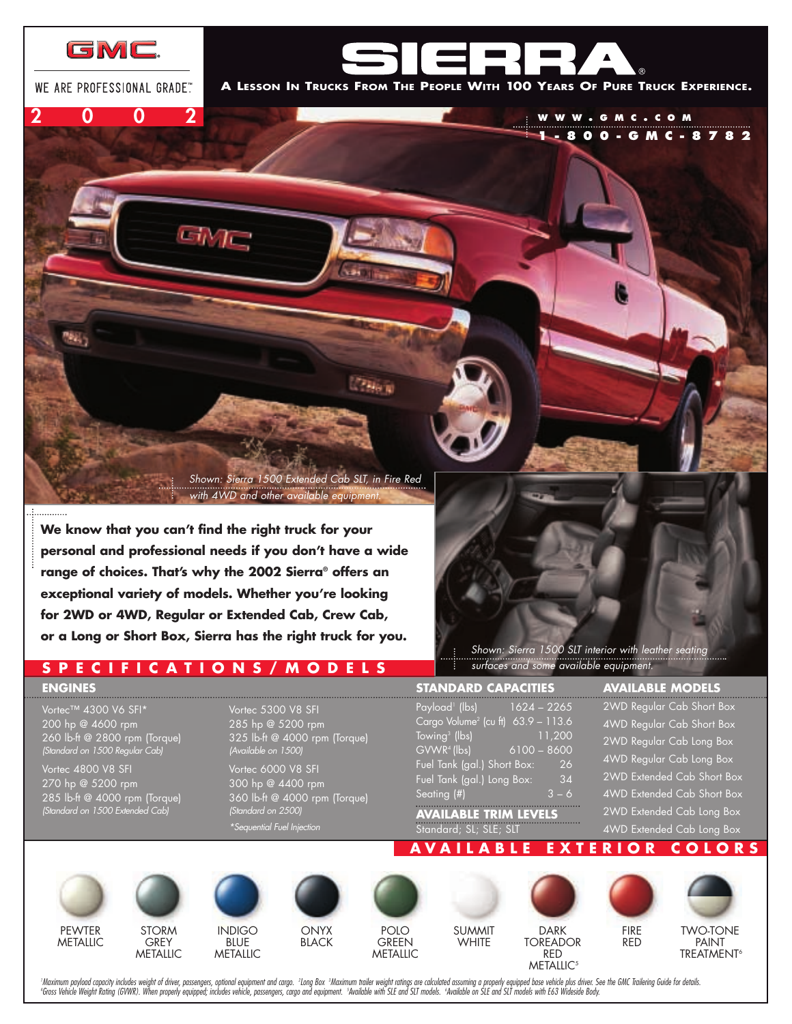

WE ARE PROFESSIONAL GRADE"

**2002**

**A LESSON IN TRUCKS FROM THE PEOPLE WITH 100 YEARS OF PURE TRUCK EXPERIENCE.**

**WWW . GMC . COM**

**1-800-GMC-8782**

*Shown: Sierra 1500 Extended Cab SLT, in Fire Red with 4WD and other available equipment.* 

**PHone** 

**We know that you can't find the right truck for your personal and professional needs if you don't have a wide range of choices. That's why the 2002 Sierra® offers an exceptional variety of models. Whether you're looking for 2WD or 4WD, Regular or Extended Cab, Crew Cab, or a Long or Short Box, Sierra has the right truck for you.**

 $\varepsilon_{0} \gamma_{\rm L}$ 

**SPECIFICATIONS/MODELS**

#### **ENGINES**

Vortec™ 4300 V6 SFI\* 200 hp @ 4600 rpm 260 lb-ft @ 2800 rpm (Torque) *(Standard on 1500 Regular Cab)*

Vortec 4800 V8 SFI 270 hp @ 5200 rpm 285 lb-ft @ 4000 rpm (Torque) *(Standard on 1500 Extended Cab)*

Vortec 5300 V8 SFI 285 hp @ 5200 rpm 325 lb-ft @ 4000 rpm (Torque) *(Available on 1500)* Vortec 6000 V8 SFI 300 hp @ 4400 rpm 360 lb-ft @ 4000 rpm (Torque) *(Standard on 2500)* 

*\*Sequential Fuel Injection*

*Shown: Sierra 1500 SLT interior with leather seating surfaces and some available equipment.* 

#### **STANDARD CAPACITIES**

| Payload <sup>1</sup> (lbs)                     | $1624 - 2265$ |
|------------------------------------------------|---------------|
| Cargo Volume <sup>2</sup> (cu ft) 63.9 - 113.6 |               |
| Towing <sup>3</sup> (lbs)                      | 11,200        |
| GVWR <sup>4</sup> (lbs)                        | $6100 - 8600$ |
| Fuel Tank (gal.) Short Box:                    | 26            |
| Fuel Tank (gal.) Long Box:                     | 34            |
| Seating $(\#)$                                 | $3 - 6$       |

### **AVAILABLE TRIM LEVELS** Standard; SL; SLE; SLT

#### **AVAILABLE MODELS**

2WD Regular Cab Short Box 4WD Regular Cab Short Box 2WD Regular Cab Long Box 4WD Regular Cab Long Box 2WD Extended Cab Short Box 4WD Extended Cab Short Box 2WD Extended Cab Long Box 4WD Extended Cab Long Box









**ONYX BLACK** 



SUMMIT **WHITE** 



**AVA ILABLE EX TER IOR COLORS**

FIRE RED



**TREATMENT<sup>6</sup>** 

'Maximum payload capacity includes weight of driver, passengers, optional equipment and cargo. Long Box Maximum trailer weight ratings are calculated assuming a properly equipped base vehicle plus driver. See the GMC T 'Gross Vehicle Weight Rating (GVWR). When properly equipped; includes vehicle, passengers, cargo and equipment. 'Available with SLE and SLT models. "Available on SLE and SLT models with E63 Wideside Body.